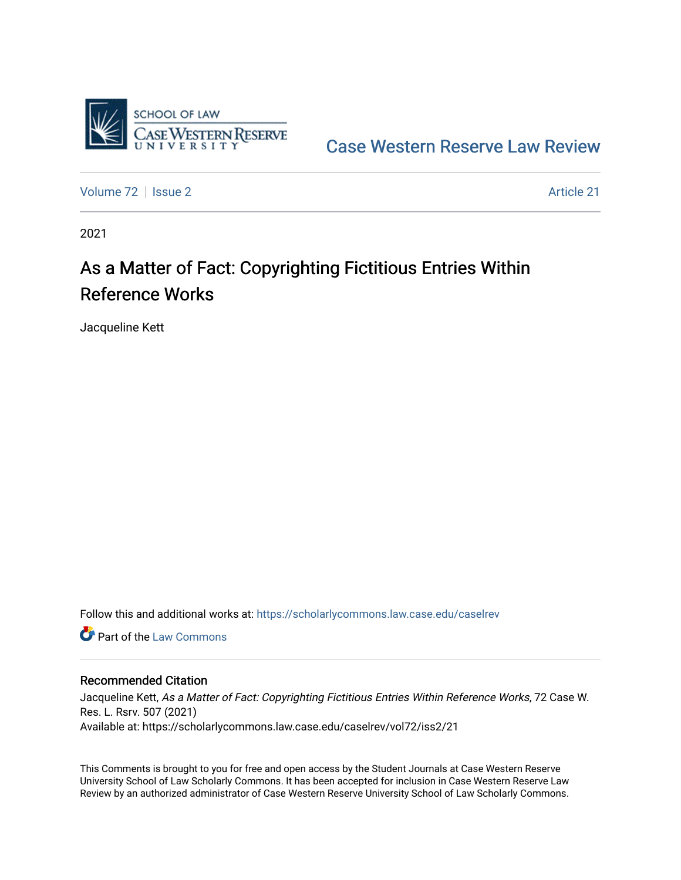

[Case Western Reserve Law Review](https://scholarlycommons.law.case.edu/caselrev) 

[Volume 72](https://scholarlycommons.law.case.edu/caselrev/vol72) | [Issue 2](https://scholarlycommons.law.case.edu/caselrev/vol72/iss2) Article 21

2021

# As a Matter of Fact: Copyrighting Fictitious Entries Within Reference Works

Jacqueline Kett

Follow this and additional works at: [https://scholarlycommons.law.case.edu/caselrev](https://scholarlycommons.law.case.edu/caselrev?utm_source=scholarlycommons.law.case.edu%2Fcaselrev%2Fvol72%2Fiss2%2F21&utm_medium=PDF&utm_campaign=PDFCoverPages)

**C** Part of the [Law Commons](https://network.bepress.com/hgg/discipline/578?utm_source=scholarlycommons.law.case.edu%2Fcaselrev%2Fvol72%2Fiss2%2F21&utm_medium=PDF&utm_campaign=PDFCoverPages)

### Recommended Citation

Jacqueline Kett, As a Matter of Fact: Copyrighting Fictitious Entries Within Reference Works, 72 Case W. Res. L. Rsrv. 507 (2021) Available at: https://scholarlycommons.law.case.edu/caselrev/vol72/iss2/21

This Comments is brought to you for free and open access by the Student Journals at Case Western Reserve University School of Law Scholarly Commons. It has been accepted for inclusion in Case Western Reserve Law Review by an authorized administrator of Case Western Reserve University School of Law Scholarly Commons.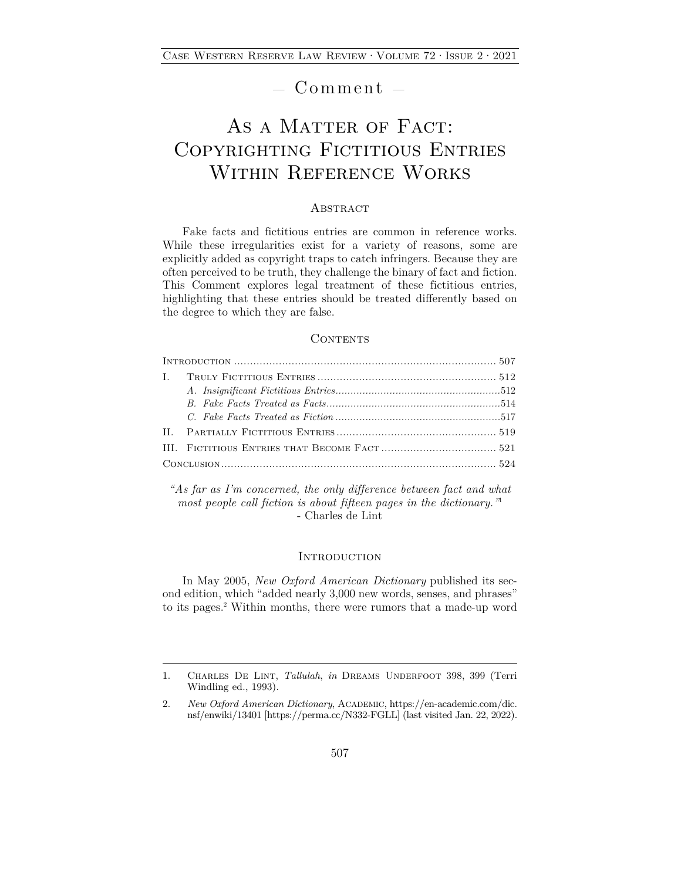## — Comment —

# AS A MATTER OF FACT: Copyrighting Fictitious Entries Within Reference Works

### **ABSTRACT**

Fake facts and fictitious entries are common in reference works. While these irregularities exist for a variety of reasons, some are explicitly added as copyright traps to catch infringers. Because they are often perceived to be truth, they challenge the binary of fact and fiction. This Comment explores legal treatment of these fictitious entries, highlighting that these entries should be treated differently based on the degree to which they are false.

#### CONTENTS

*"As far as I'm concerned, the only difference between fact and what most people call fiction is about fifteen pages in the dictionary."*<sup>1</sup> - Charles de Lint

#### **INTRODUCTION**

In May 2005, *New Oxford American Dictionary* published its second edition, which "added nearly 3,000 new words, senses, and phrases" to its pages.2 Within months, there were rumors that a made-up word

<sup>1.</sup> Charles De Lint, *Tallulah*, *in* Dreams Underfoot 398, 399 (Terri Windling ed., 1993).

<sup>2.</sup> *New Oxford American Dictionary*, ACADEMIC, https://en-academic.com/dic. nsf/enwiki/13401 [https://perma.cc/N332-FGLL] (last visited Jan. 22, 2022).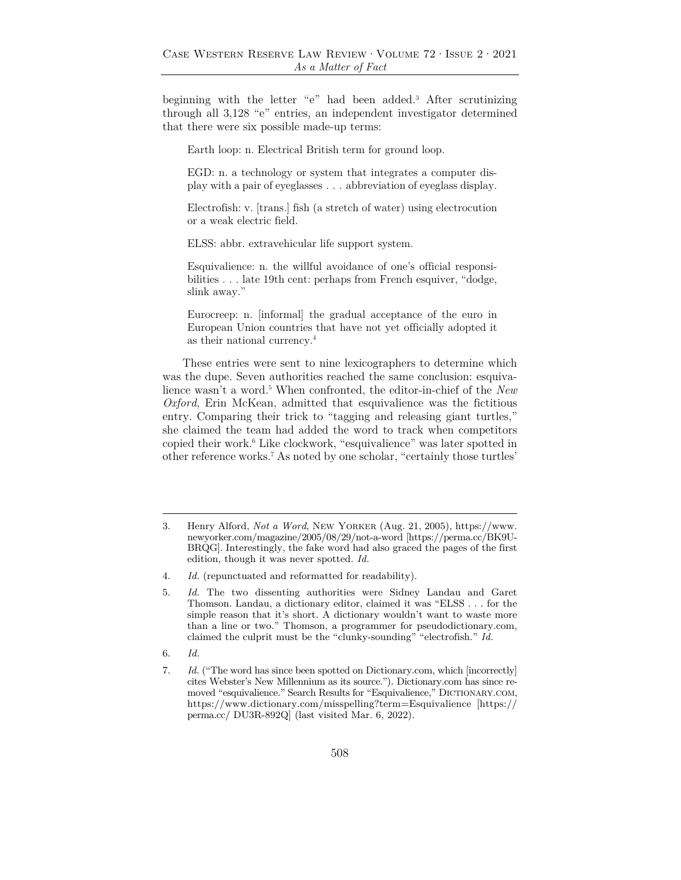beginning with the letter "e" had been added.3 After scrutinizing through all 3,128 "e" entries, an independent investigator determined that there were six possible made-up terms:

Earth loop: n. Electrical British term for ground loop.

EGD: n. a technology or system that integrates a computer display with a pair of eyeglasses . . . abbreviation of eyeglass display.

Electrofish: v. [trans.] fish (a stretch of water) using electrocution or a weak electric field.

ELSS: abbr. extravehicular life support system.

Esquivalience: n. the willful avoidance of one's official responsibilities . . . late 19th cent: perhaps from French esquiver, "dodge, slink away."

Eurocreep: n. [informal] the gradual acceptance of the euro in European Union countries that have not yet officially adopted it as their national currency.4

These entries were sent to nine lexicographers to determine which was the dupe. Seven authorities reached the same conclusion: esquivalience wasn't a word.<sup>5</sup> When confronted, the editor-in-chief of the *New Oxford*, Erin McKean, admitted that esquivalience was the fictitious entry. Comparing their trick to "tagging and releasing giant turtles," she claimed the team had added the word to track when competitors copied their work.6 Like clockwork, "esquivalience" was later spotted in other reference works.7 As noted by one scholar, "certainly those turtles'

6. *Id.* 

<sup>3.</sup> Henry Alford, *Not a Word*, New Yorker (Aug. 21, 2005), https://www. newyorker.com/magazine/2005/08/29/not-a-word [https://perma.cc/BK9U-BRQG]. Interestingly, the fake word had also graced the pages of the first edition, though it was never spotted. *Id.*

<sup>4.</sup> *Id.* (repunctuated and reformatted for readability).

<sup>5.</sup> *Id.* The two dissenting authorities were Sidney Landau and Garet Thomson. Landau, a dictionary editor, claimed it was "ELSS . . . for the simple reason that it's short. A dictionary wouldn't want to waste more than a line or two." Thomson, a programmer for pseudodictionary.com, claimed the culprit must be the "clunky-sounding" "electrofish." *Id.*

<sup>7.</sup> *Id.* ("The word has since been spotted on Dictionary.com, which [incorrectly] cites Webster's New Millennium as its source."). Dictionary.com has since removed "esquivalience." Search Results for "Esquivalience," DICTIONARY.COM, https://www.dictionary.com/misspelling?term=Esquivalience [https:// perma.cc/ DU3R-892Q] (last visited Mar. 6, 2022).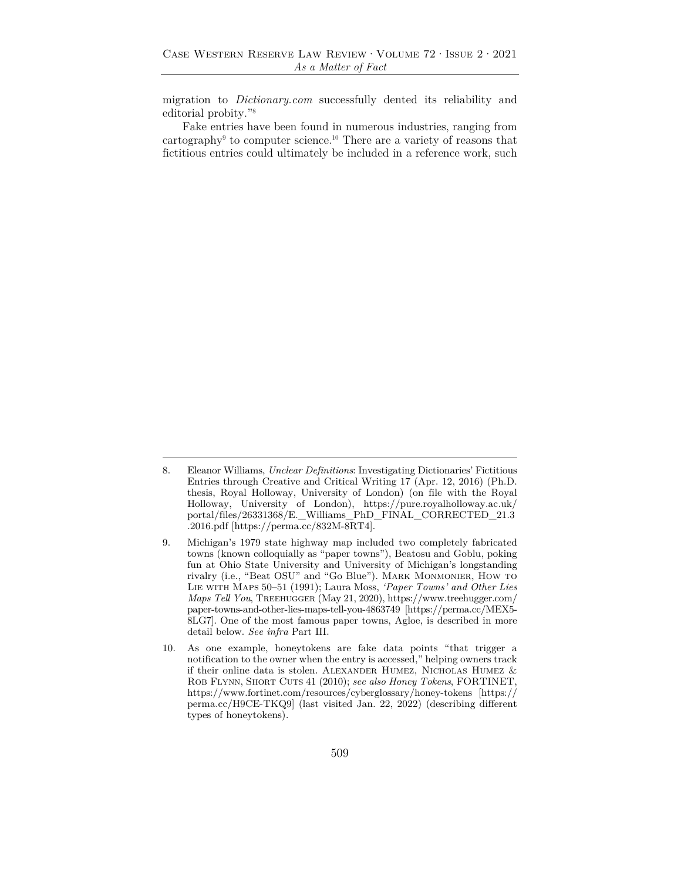migration to *Dictionary.com* successfully dented its reliability and editorial probity."8

Fake entries have been found in numerous industries, ranging from cartography<sup>9</sup> to computer science.<sup>10</sup> There are a variety of reasons that fictitious entries could ultimately be included in a reference work, such

<sup>8.</sup> Eleanor Williams, *Unclear Definitions*: Investigating Dictionaries' Fictitious Entries through Creative and Critical Writing 17 (Apr. 12, 2016) (Ph.D. thesis, Royal Holloway, University of London) (on file with the Royal Holloway, University of London), https://pure.royalholloway.ac.uk/ portal/files/26331368/E.\_Williams\_PhD\_FINAL\_CORRECTED\_21.3 .2016.pdf [https://perma.cc/832M-8RT4].

<sup>9.</sup> Michigan's 1979 state highway map included two completely fabricated towns (known colloquially as "paper towns"), Beatosu and Goblu, poking fun at Ohio State University and University of Michigan's longstanding rivalry (i.e., "Beat OSU" and "Go Blue"). Mark Monmonier, How to Lie with Maps 50–51 (1991); Laura Moss, *'Paper Towns' and Other Lies Maps Tell You*, Treehugger (May 21, 2020), https://www.treehugger.com/ paper-towns-and-other-lies-maps-tell-you-4863749 [https://perma.cc/MEX5- 8LG7]. One of the most famous paper towns, Agloe, is described in more detail below. *See infra* Part III.

<sup>10.</sup> As one example, honeytokens are fake data points "that trigger a notification to the owner when the entry is accessed," helping owners track if their online data is stolen. Alexander Humez, Nicholas Humez & Rob Flynn, Short Cuts 41 (2010); *see also Honey Tokens*, FORTINET, https://www.fortinet.com/resources/cyberglossary/honey-tokens [https:// perma.cc/H9CE-TKQ9] (last visited Jan. 22, 2022) (describing different types of honeytokens).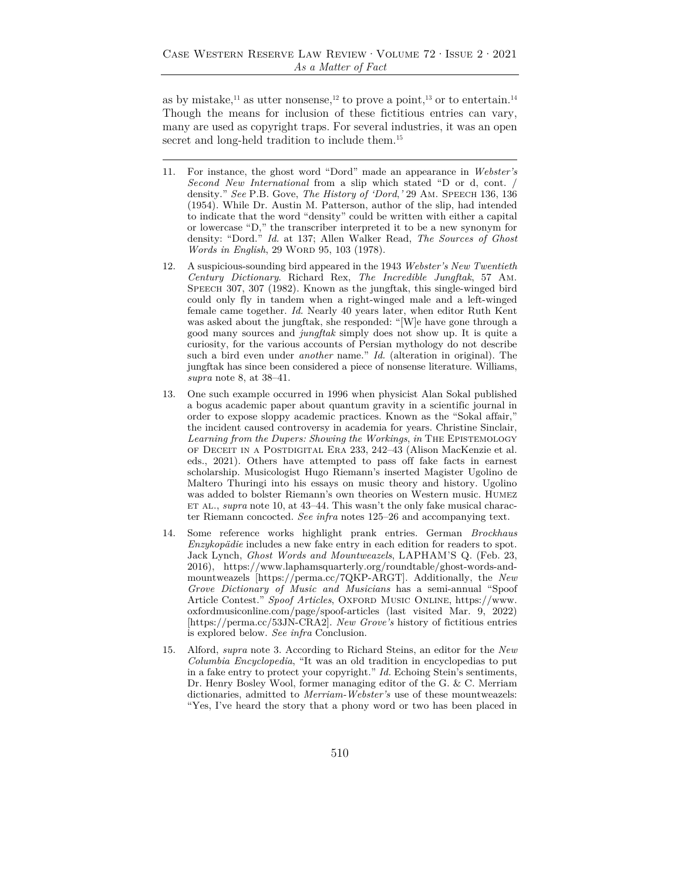as by mistake,<sup>11</sup> as utter nonsense,<sup>12</sup> to prove a point,<sup>13</sup> or to entertain.<sup>14</sup> Though the means for inclusion of these fictitious entries can vary, many are used as copyright traps. For several industries, it was an open secret and long-held tradition to include them.<sup>15</sup>

- 11. For instance, the ghost word "Dord" made an appearance in *Webster's Second New International* from a slip which stated "D or d, cont. / density." *See* P.B. Gove, *The History of 'Dord*,*'* 29 Am. Speech 136, 136 (1954). While Dr. Austin M. Patterson, author of the slip, had intended to indicate that the word "density" could be written with either a capital or lowercase "D," the transcriber interpreted it to be a new synonym for density: "Dord." *Id.* at 137; Allen Walker Read, *The Sources of Ghost Words in English*, 29 WORD 95, 103 (1978).
- 12. A suspicious-sounding bird appeared in the 1943 *Webster's New Twentieth Century Dictionary*. Richard Rex, *The Incredible Jungftak*, 57 Am. SPEECH 307, 307 (1982). Known as the jungftak, this single-winged bird could only fly in tandem when a right-winged male and a left-winged female came together. *Id.* Nearly 40 years later, when editor Ruth Kent was asked about the jungftak, she responded: "[W]e have gone through a good many sources and *jungftak* simply does not show up. It is quite a curiosity, for the various accounts of Persian mythology do not describe such a bird even under *another* name." *Id.* (alteration in original). The jungftak has since been considered a piece of nonsense literature. Williams, *supra* note 8, at 38–41.
- 13. One such example occurred in 1996 when physicist Alan Sokal published a bogus academic paper about quantum gravity in a scientific journal in order to expose sloppy academic practices. Known as the "Sokal affair," the incident caused controversy in academia for years. Christine Sinclair, *Learning from the Dupers: Showing the Workings*, *in* The Epistemology of Deceit in a Postdigital Era 233, 242–43 (Alison MacKenzie et al. eds., 2021). Others have attempted to pass off fake facts in earnest scholarship. Musicologist Hugo Riemann's inserted Magister Ugolino de Maltero Thuringi into his essays on music theory and history. Ugolino was added to bolster Riemann's own theories on Western music. Humez ET AL., *supra* note 10, at 43–44. This wasn't the only fake musical character Riemann concocted. *See infra* notes 125–26 and accompanying text.
- 14. Some reference works highlight prank entries. German *Brockhaus Enzykopädie* includes a new fake entry in each edition for readers to spot. Jack Lynch, *Ghost Words and Mountweazels*, LAPHAM'S Q. (Feb. 23, 2016), https://www.laphamsquarterly.org/roundtable/ghost-words-andmountweazels [https://perma.cc/7QKP-ARGT]. Additionally, the *New Grove Dictionary of Music and Musicians* has a semi-annual "Spoof Article Contest." Spoof Articles, OXFORD MUSIC ONLINE, https://www. oxfordmusiconline.com/page/spoof-articles (last visited Mar. 9, 2022) [https://perma.cc/53JN-CRA2]. *New Grove's* history of fictitious entries is explored below. *See infra* Conclusion.
- 15. Alford, *supra* note 3. According to Richard Steins, an editor for the *New Columbia Encyclopedia*, "It was an old tradition in encyclopedias to put in a fake entry to protect your copyright." *Id.* Echoing Stein's sentiments, Dr. Henry Bosley Wool, former managing editor of the G. & C. Merriam dictionaries, admitted to *Merriam-Webster's* use of these mountweazels: "Yes, I've heard the story that a phony word or two has been placed in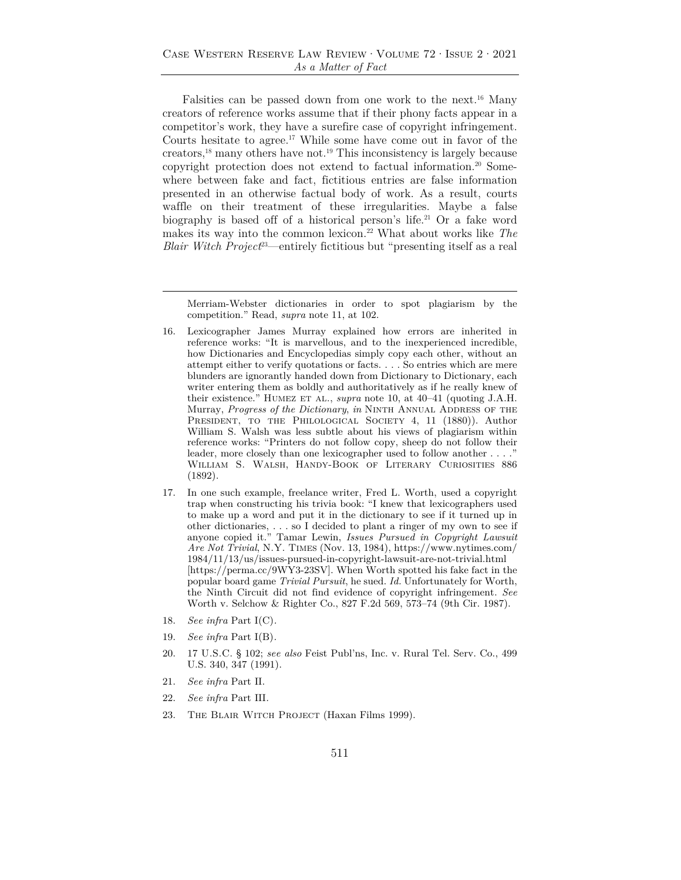Falsities can be passed down from one work to the next.16 Many creators of reference works assume that if their phony facts appear in a competitor's work, they have a surefire case of copyright infringement. Courts hesitate to agree.17 While some have come out in favor of the creators,18 many others have not.19 This inconsistency is largely because copyright protection does not extend to factual information.20 Somewhere between fake and fact, fictitious entries are false information presented in an otherwise factual body of work. As a result, courts waffle on their treatment of these irregularities. Maybe a false biography is based off of a historical person's life.<sup>21</sup> Or a fake word makes its way into the common lexicon.22 What about works like *The Blair Witch Project*<sup>23</sup>—entirely fictitious but "presenting itself as a real

- 17. In one such example, freelance writer, Fred L. Worth, used a copyright trap when constructing his trivia book: "I knew that lexicographers used to make up a word and put it in the dictionary to see if it turned up in other dictionaries, . . . so I decided to plant a ringer of my own to see if anyone copied it." Tamar Lewin, *Issues Pursued in Copyright Lawsuit Are Not Trivial*, N.Y. Times (Nov. 13, 1984), https://www.nytimes.com/ 1984/11/13/us/issues-pursued-in-copyright-lawsuit-are-not-trivial.html [https://perma.cc/9WY3-23SV]. When Worth spotted his fake fact in the popular board game *Trivial Pursuit*, he sued. *Id.* Unfortunately for Worth, the Ninth Circuit did not find evidence of copyright infringement. *See* Worth v. Selchow & Righter Co., 827 F.2d 569, 573–74 (9th Cir. 1987).
- 18. *See infra* Part I(C)*.*
- 19. *See infra* Part I(B)*.*
- 20. 17 U.S.C. § 102; *see also* Feist Publ'ns, Inc. v. Rural Tel. Serv. Co., 499 U.S. 340, 347 (1991).
- 21. *See infra* Part II.
- 22. *See infra* Part III*.*
- 23. The Blair Witch Project (Haxan Films 1999).

Merriam-Webster dictionaries in order to spot plagiarism by the competition." Read, *supra* note 11, at 102.

<sup>16.</sup> Lexicographer James Murray explained how errors are inherited in reference works: "It is marvellous, and to the inexperienced incredible, how Dictionaries and Encyclopedias simply copy each other, without an attempt either to verify quotations or facts. . . . So entries which are mere blunders are ignorantly handed down from Dictionary to Dictionary, each writer entering them as boldly and authoritatively as if he really knew of their existence." HUMEZ ET AL., *supra* note 10, at 40–41 (quoting J.A.H. Murray, *Progress of the Dictionary*, *in* NINTH ANNUAL ADDRESS OF THE PRESIDENT, TO THE PHILOLOGICAL SOCIETY 4, 11 (1880)). Author William S. Walsh was less subtle about his views of plagiarism within reference works: "Printers do not follow copy, sheep do not follow their leader, more closely than one lexicographer used to follow another . . . ." William S. Walsh, Handy-Book of Literary Curiosities 886 (1892).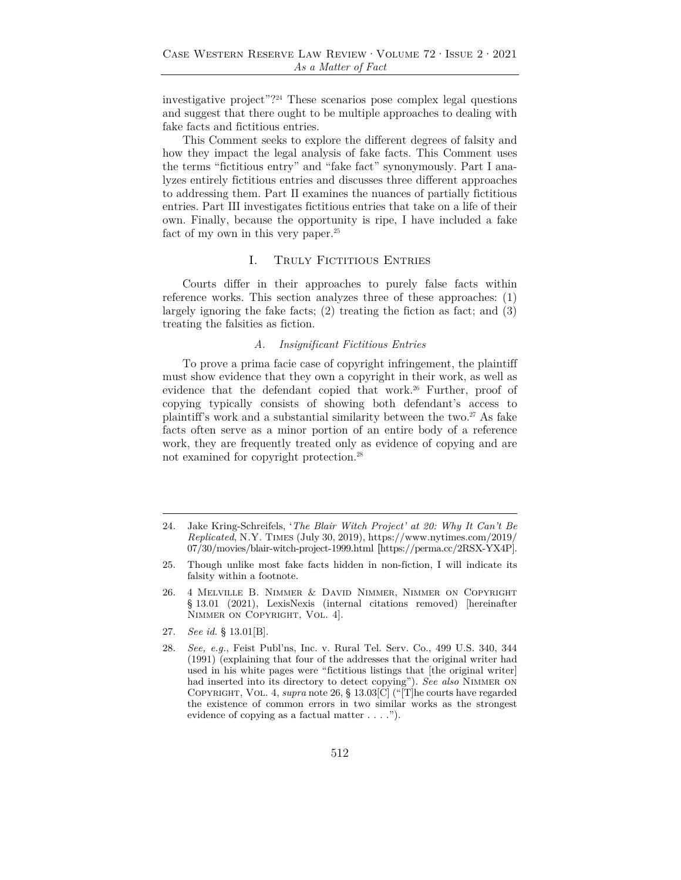investigative project"?24 These scenarios pose complex legal questions and suggest that there ought to be multiple approaches to dealing with fake facts and fictitious entries.

This Comment seeks to explore the different degrees of falsity and how they impact the legal analysis of fake facts. This Comment uses the terms "fictitious entry" and "fake fact" synonymously. Part I analyzes entirely fictitious entries and discusses three different approaches to addressing them. Part II examines the nuances of partially fictitious entries. Part III investigates fictitious entries that take on a life of their own. Finally, because the opportunity is ripe, I have included a fake fact of my own in this very paper.<sup>25</sup>

#### I. TRULY FICTITIOUS ENTRIES

Courts differ in their approaches to purely false facts within reference works. This section analyzes three of these approaches: (1) largely ignoring the fake facts; (2) treating the fiction as fact; and (3) treating the falsities as fiction.

#### *A. Insignificant Fictitious Entries*

To prove a prima facie case of copyright infringement, the plaintiff must show evidence that they own a copyright in their work, as well as evidence that the defendant copied that work.<sup>26</sup> Further, proof of copying typically consists of showing both defendant's access to plaintiff's work and a substantial similarity between the two. $27$  As fake facts often serve as a minor portion of an entire body of a reference work, they are frequently treated only as evidence of copying and are not examined for copyright protection.28

<sup>24.</sup> Jake Kring-Schreifels, '*The Blair Witch Project' at 20: Why It Can't Be Replicated*, N.Y. Times (July 30, 2019), https://www.nytimes.com/2019/ 07/30/movies/blair-witch-project-1999.html **[**https://perma.cc/2RSX-YX4P].

<sup>25.</sup> Though unlike most fake facts hidden in non-fiction, I will indicate its falsity within a footnote.

<sup>26. 4</sup> Melville B. Nimmer & David Nimmer, Nimmer on Copyright § 13.01 (2021), LexisNexis (internal citations removed) [hereinafter NIMMER ON COPYRIGHT, VOL. 4].

<sup>27.</sup> *See id.* § 13.01[B].

<sup>28.</sup> *See, e.g.*, Feist Publ'ns, Inc. v. Rural Tel. Serv. Co., 499 U.S. 340, 344 (1991) (explaining that four of the addresses that the original writer had used in his white pages were "fictitious listings that [the original writer] had inserted into its directory to detect copying"). *See also* Nimmer on Copyright, Vol. 4, *supra* note 26, § 13.03[C] ("[T]he courts have regarded the existence of common errors in two similar works as the strongest evidence of copying as a factual matter . . . .").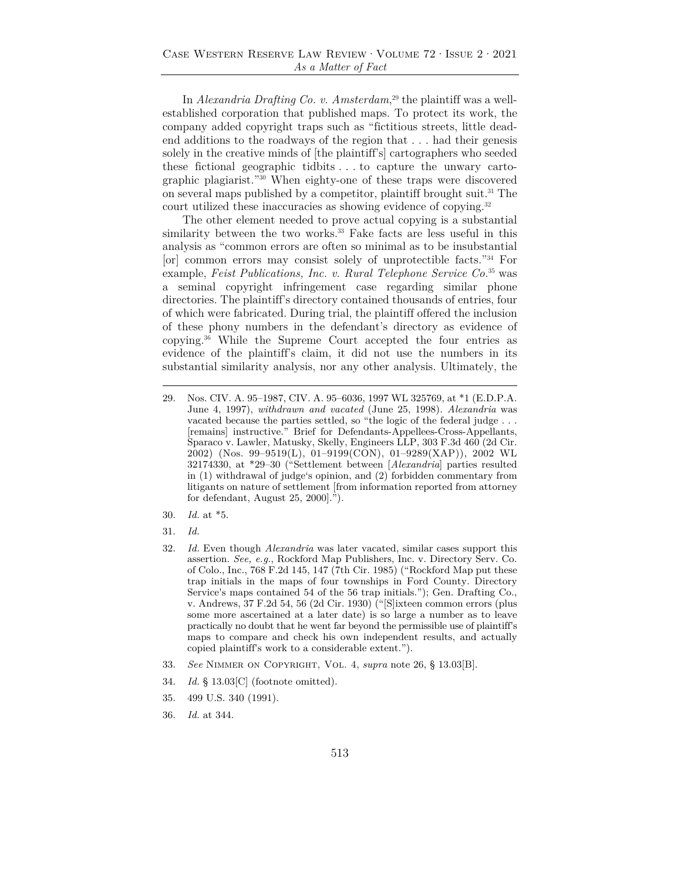In *Alexandria Drafting Co. v. Amsterdam*, 29 the plaintiff was a wellestablished corporation that published maps. To protect its work, the company added copyright traps such as "fictitious streets, little deadend additions to the roadways of the region that . . . had their genesis solely in the creative minds of [the plaintiff's] cartographers who seeded these fictional geographic tidbits . . . to capture the unwary cartographic plagiarist."30 When eighty-one of these traps were discovered on several maps published by a competitor, plaintiff brought suit.31 The court utilized these inaccuracies as showing evidence of copying.<sup>32</sup>

The other element needed to prove actual copying is a substantial similarity between the two works.<sup>33</sup> Fake facts are less useful in this analysis as "common errors are often so minimal as to be insubstantial [or] common errors may consist solely of unprotectible facts."34 For example, *Feist Publications, Inc. v. Rural Telephone Service Co.*35 was a seminal copyright infringement case regarding similar phone directories. The plaintiff's directory contained thousands of entries, four of which were fabricated. During trial, the plaintiff offered the inclusion of these phony numbers in the defendant's directory as evidence of copying.36 While the Supreme Court accepted the four entries as evidence of the plaintiff's claim, it did not use the numbers in its substantial similarity analysis, nor any other analysis. Ultimately, the

- 30. *Id.* at \*5.
- 31. *Id.*
- 32. *Id.* Even though *Alexandria* was later vacated, similar cases support this assertion. *See, e.g.*, Rockford Map Publishers, Inc. v. Directory Serv. Co. of Colo., Inc., 768 F.2d 145, 147 (7th Cir. 1985) ("Rockford Map put these trap initials in the maps of four townships in Ford County. Directory Service's maps contained 54 of the 56 trap initials."); Gen. Drafting Co., v. Andrews, 37 F.2d 54, 56 (2d Cir. 1930) ("[S]ixteen common errors (plus some more ascertained at a later date) is so large a number as to leave practically no doubt that he went far beyond the permissible use of plaintiff's maps to compare and check his own independent results, and actually copied plaintiff's work to a considerable extent.").
- 33. *See* Nimmer on Copyright, Vol. 4, *supra* note 26, § 13.03[B].
- 34. *Id.* § 13.03[C] (footnote omitted).
- 35. 499 U.S. 340 (1991).
- 36. *Id.* at 344.

<sup>29.</sup> Nos. CIV. A. 95–1987, CIV. A. 95–6036, 1997 WL 325769, at \*1 (E.D.P.A. June 4, 1997), *withdrawn and vacated* (June 25, 1998). *Alexandria* was vacated because the parties settled, so "the logic of the federal judge . . . [remains] instructive." Brief for Defendants-Appellees-Cross-Appellants, Sparaco v. Lawler, Matusky, Skelly, Engineers LLP, 303 F.3d 460 (2d Cir. 2002) (Nos. 99–9519(L), 01–9199(CON), 01–9289(XAP)), 2002 WL 32174330, at \*29–30 ("Settlement between [*Alexandria*] parties resulted in (1) withdrawal of judge's opinion, and (2) forbidden commentary from litigants on nature of settlement [from information reported from attorney for defendant, August 25, 2000].").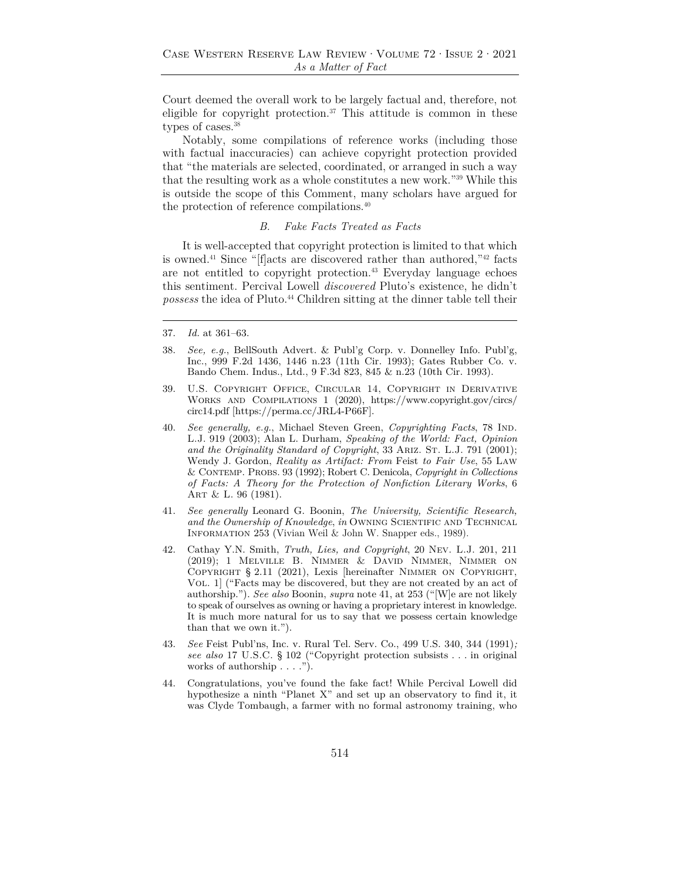Court deemed the overall work to be largely factual and, therefore, not eligible for copyright protection.37 This attitude is common in these types of cases.<sup>38</sup>

Notably, some compilations of reference works (including those with factual inaccuracies) can achieve copyright protection provided that "the materials are selected, coordinated, or arranged in such a way that the resulting work as a whole constitutes a new work."39 While this is outside the scope of this Comment, many scholars have argued for the protection of reference compilations.<sup>40</sup>

#### *B. Fake Facts Treated as Facts*

It is well-accepted that copyright protection is limited to that which is owned.<sup>41</sup> Since "[f]acts are discovered rather than authored,  $42$  facts are not entitled to copyright protection.<sup>43</sup> Everyday language echoes this sentiment. Percival Lowell *discovered* Pluto's existence, he didn't *possess* the idea of Pluto.44 Children sitting at the dinner table tell their

- 38. *See, e.g.*, BellSouth Advert. & Publ'g Corp. v. Donnelley Info. Publ'g, Inc., 999 F.2d 1436, 1446 n.23 (11th Cir. 1993); Gates Rubber Co. v. Bando Chem. Indus., Ltd., 9 F.3d 823, 845 & n.23 (10th Cir. 1993).
- 39. U.S. Copyright Office, Circular 14, Copyright in Derivative Works and Compilations 1 (2020), https://www.copyright.gov/circs/ circ14.pdf [https://perma.cc/JRL4-P66F].
- 40. *See generally, e.g.*, Michael Steven Green, *Copyrighting Facts*, 78 Ind. L.J. 919 (2003); Alan L. Durham, *Speaking of the World: Fact, Opinion*  and the Originality Standard of Copyright, 33 ARIZ. ST. L.J. 791 (2001); Wendy J. Gordon, *Reality as Artifact: From* Feist *to Fair Use*, 55 Law & Contemp. Probs. 93 (1992); Robert C. Denicola, *Copyright in Collections of Facts: A Theory for the Protection of Nonfiction Literary Works*, 6 Art & L. 96 (1981).
- 41. *See generally* Leonard G. Boonin, *The University, Scientific Research, and the Ownership of Knowledge*, *in* Owning Scientific and Technical INFORMATION 253 (Vivian Weil & John W. Snapper eds., 1989).
- 42. Cathay Y.N. Smith, *Truth, Lies, and Copyright*, 20 Nev. L.J. 201, 211 (2019); 1 Melville B. Nimmer & David Nimmer, Nimmer on Copyright § 2.11 (2021), Lexis [hereinafter Nimmer on Copyright, Vol. 1] ("Facts may be discovered, but they are not created by an act of authorship."). *See also* Boonin, *supra* note 41, at 253 ("[W]e are not likely to speak of ourselves as owning or having a proprietary interest in knowledge. It is much more natural for us to say that we possess certain knowledge than that we own it.").
- 43. *See* Feist Publ'ns, Inc. v. Rural Tel. Serv. Co., 499 U.S. 340, 344 (1991)*; see also* 17 U.S.C. § 102 ("Copyright protection subsists . . . in original works of authorship . . . .").
- 44. Congratulations, you've found the fake fact! While Percival Lowell did hypothesize a ninth "Planet X" and set up an observatory to find it, it was Clyde Tombaugh, a farmer with no formal astronomy training, who

<sup>37.</sup> *Id.* at 361–63.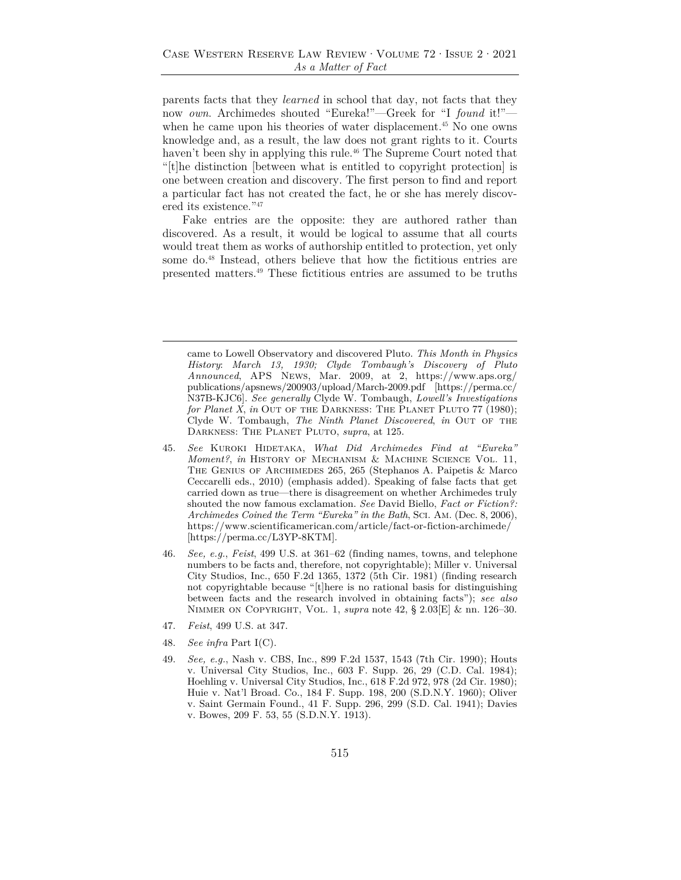parents facts that they *learned* in school that day, not facts that they now *own*. Archimedes shouted "Eureka!"—Greek for "I *found* it!" when he came upon his theories of water displacement.<sup>45</sup> No one owns knowledge and, as a result, the law does not grant rights to it. Courts haven't been shy in applying this rule.<sup>46</sup> The Supreme Court noted that "[t]he distinction [between what is entitled to copyright protection] is one between creation and discovery. The first person to find and report a particular fact has not created the fact, he or she has merely discovered its existence."47

Fake entries are the opposite: they are authored rather than discovered. As a result, it would be logical to assume that all courts would treat them as works of authorship entitled to protection, yet only some do.48 Instead, others believe that how the fictitious entries are presented matters.49 These fictitious entries are assumed to be truths

- 45. *See* Kuroki Hidetaka, *What Did Archimedes Find at "Eureka" Moment?*, *in* History of Mechanism & Machine Science Vol. 11, The Genius of Archimedes 265, 265 (Stephanos A. Paipetis & Marco Ceccarelli eds., 2010) (emphasis added). Speaking of false facts that get carried down as true—there is disagreement on whether Archimedes truly shouted the now famous exclamation. *See* David Biello, *Fact or Fiction?: Archimedes Coined the Term "Eureka" in the Bath*, Sci. Am. (Dec. 8, 2006), https://www.scientificamerican.com/article/fact-or-fiction-archimede/ [https://perma.cc/L3YP-8KTM].
- 46. *See, e.g.*, *Feist*, 499 U.S. at 361–62 (finding names, towns, and telephone numbers to be facts and, therefore, not copyrightable); Miller v. Universal City Studios, Inc., 650 F.2d 1365, 1372 (5th Cir. 1981) (finding research not copyrightable because "[t]here is no rational basis for distinguishing between facts and the research involved in obtaining facts"); *see also* Nimmer on Copyright, Vol. 1, *supra* note 42, § 2.03[E] & nn. 126–30.
- 47. *Feist*, 499 U.S. at 347.
- 48. *See infra* Part I(C).
- 49. *See, e.g.*, Nash v. CBS, Inc., 899 F.2d 1537, 1543 (7th Cir. 1990); Houts v. Universal City Studios, Inc., 603 F. Supp. 26, 29 (C.D. Cal. 1984); Hoehling v. Universal City Studios, Inc., 618 F.2d 972, 978 (2d Cir. 1980); Huie v. Nat'l Broad. Co., 184 F. Supp. 198, 200 (S.D.N.Y. 1960); Oliver v. Saint Germain Found., 41 F. Supp. 296, 299 (S.D. Cal. 1941); Davies v. Bowes, 209 F. 53, 55 (S.D.N.Y. 1913).

came to Lowell Observatory and discovered Pluto. *This Month in Physics History*: *March 13, 1930; Clyde Tombaugh's Discovery of Pluto Announced*, APS News, Mar. 2009, at 2, https://www.aps.org/ publications/apsnews/200903/upload/March-2009.pdf [https://perma.cc/ N37B-KJC6]. *See generally* Clyde W. Tombaugh, *Lowell's Investigations for Planet X, in* Out of the DARKNESS: The PLANET PLUTO 77 (1980); Clyde W. Tombaugh, *The Ninth Planet Discovered*, *in* Out of the Darkness: The Planet Pluto, *supra*, at 125.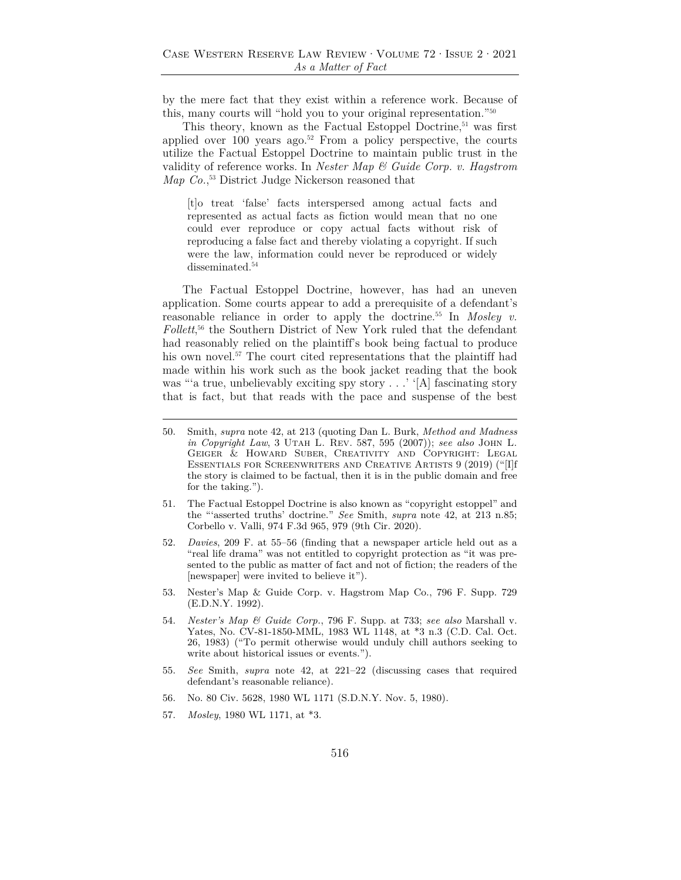by the mere fact that they exist within a reference work. Because of this, many courts will "hold you to your original representation."50

This theory, known as the Factual Estoppel Doctrine,<sup>51</sup> was first applied over 100 years ago.<sup>52</sup> From a policy perspective, the courts utilize the Factual Estoppel Doctrine to maintain public trust in the validity of reference works. In *Nester Map & Guide Corp. v. Hagstrom Map Co.*, 53 District Judge Nickerson reasoned that

[t]o treat 'false' facts interspersed among actual facts and represented as actual facts as fiction would mean that no one could ever reproduce or copy actual facts without risk of reproducing a false fact and thereby violating a copyright. If such were the law, information could never be reproduced or widely disseminated.<sup>54</sup>

The Factual Estoppel Doctrine, however, has had an uneven application. Some courts appear to add a prerequisite of a defendant's reasonable reliance in order to apply the doctrine.55 In *Mosley v. Follett*, 56 the Southern District of New York ruled that the defendant had reasonably relied on the plaintiff's book being factual to produce his own novel.<sup>57</sup> The court cited representations that the plaintiff had made within his work such as the book jacket reading that the book was "'a true, unbelievably exciting spy story . . . ' '[A] fascinating story that is fact, but that reads with the pace and suspense of the best

- 53. Nester's Map & Guide Corp. v. Hagstrom Map Co., 796 F. Supp. 729 (E.D.N.Y. 1992).
- 54. *Nester's Map & Guide Corp.*, 796 F. Supp. at 733; *see also* Marshall v. Yates, No. CV-81-1850-MML, 1983 WL 1148, at \*3 n.3 (C.D. Cal. Oct. 26, 1983) ("To permit otherwise would unduly chill authors seeking to write about historical issues or events.").
- 55. *See* Smith, *supra* note 42, at 221–22 (discussing cases that required defendant's reasonable reliance).
- 56. No. 80 Civ. 5628, 1980 WL 1171 (S.D.N.Y. Nov. 5, 1980).
- 57. *Mosley*, 1980 WL 1171, at \*3.

<sup>50.</sup> Smith, *supra* note 42, at 213 (quoting Dan L. Burk, *Method and Madness in Copyright Law*, 3 Utah L. Rev. 587, 595 (2007)); *see also* John L. Geiger & Howard Suber, Creativity and Copyright: Legal Essentials for Screenwriters and Creative Artists 9 (2019) ("[I]f the story is claimed to be factual, then it is in the public domain and free for the taking.").

<sup>51.</sup> The Factual Estoppel Doctrine is also known as "copyright estoppel" and the "'asserted truths' doctrine." *See* Smith, *supra* note 42, at 213 n.85; Corbello v. Valli, 974 F.3d 965, 979 (9th Cir. 2020).

<sup>52.</sup> *Davies*, 209 F. at 55–56 (finding that a newspaper article held out as a "real life drama" was not entitled to copyright protection as "it was presented to the public as matter of fact and not of fiction; the readers of the [newspaper] were invited to believe it").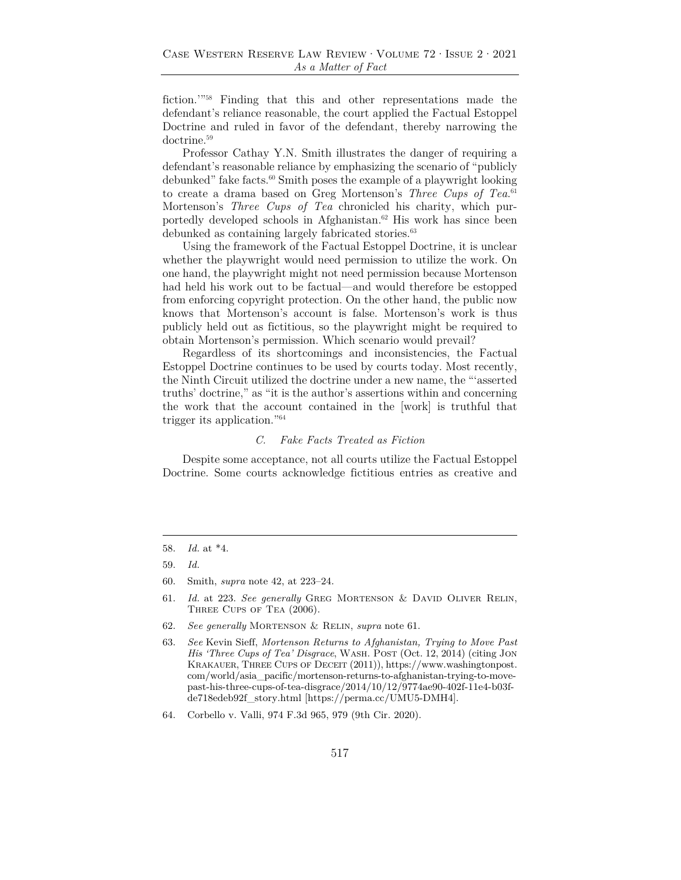fiction.'"58 Finding that this and other representations made the defendant's reliance reasonable, the court applied the Factual Estoppel Doctrine and ruled in favor of the defendant, thereby narrowing the doctrine.<sup>59</sup>

Professor Cathay Y.N. Smith illustrates the danger of requiring a defendant's reasonable reliance by emphasizing the scenario of "publicly debunked" fake facts.60 Smith poses the example of a playwright looking to create a drama based on Greg Mortenson's *Three Cups of Tea*. 61 Mortenson's *Three Cups of Tea* chronicled his charity, which purportedly developed schools in Afghanistan.62 His work has since been debunked as containing largely fabricated stories.<sup>63</sup>

Using the framework of the Factual Estoppel Doctrine, it is unclear whether the playwright would need permission to utilize the work. On one hand, the playwright might not need permission because Mortenson had held his work out to be factual—and would therefore be estopped from enforcing copyright protection. On the other hand, the public now knows that Mortenson's account is false. Mortenson's work is thus publicly held out as fictitious, so the playwright might be required to obtain Mortenson's permission. Which scenario would prevail?

Regardless of its shortcomings and inconsistencies, the Factual Estoppel Doctrine continues to be used by courts today. Most recently, the Ninth Circuit utilized the doctrine under a new name, the "'asserted truths' doctrine," as "it is the author's assertions within and concerning the work that the account contained in the [work] is truthful that trigger its application."64

#### *C. Fake Facts Treated as Fiction*

Despite some acceptance, not all courts utilize the Factual Estoppel Doctrine. Some courts acknowledge fictitious entries as creative and

<sup>58.</sup> *Id.* at \*4.

<sup>59.</sup> *Id.*

<sup>60.</sup> Smith, *supra* note 42, at 223–24.

<sup>61.</sup> *Id.* at 223. *See generally* Greg Mortenson & David Oliver Relin, Three Cups of Tea (2006).

<sup>62.</sup> *See generally* Mortenson & Relin, *supra* note 61.

<sup>63.</sup> *See* Kevin Sieff, *Mortenson Returns to Afghanistan, Trying to Move Past His 'Three Cups of Tea' Disgrace*, WASH. POST (Oct. 12, 2014) (citing JON Krakauer, Three Cups of Deceit (2011)), https://www.washingtonpost. com/world/asia\_pacific/mortenson-returns-to-afghanistan-trying-to-movepast-his-three-cups-of-tea-disgrace/2014/10/12/9774ae90-402f-11e4-b03fde718edeb92f\_story.html [https://perma.cc/UMU5-DMH4].

<sup>64.</sup> Corbello v. Valli, 974 F.3d 965, 979 (9th Cir. 2020).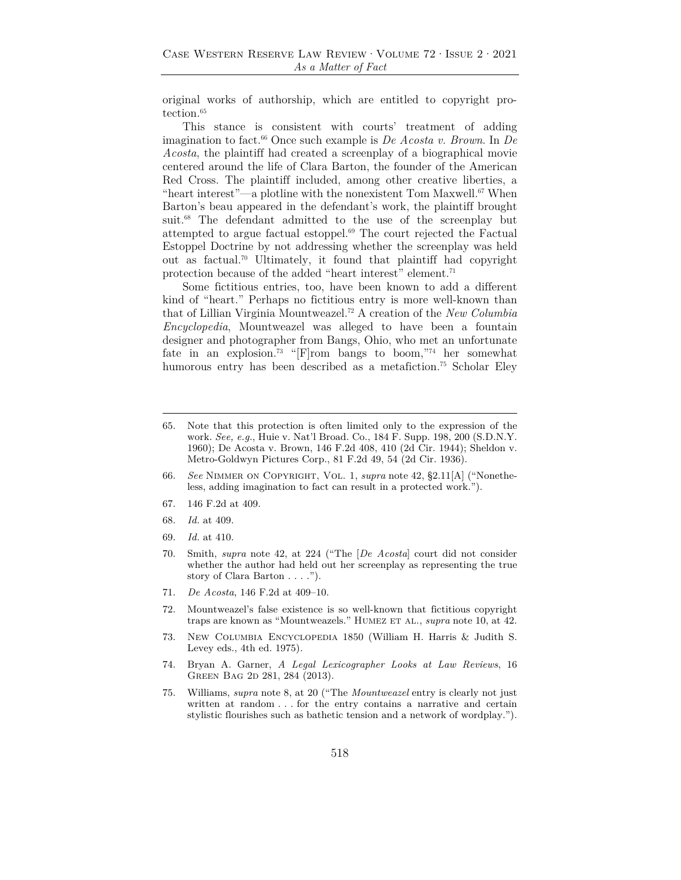original works of authorship, which are entitled to copyright protection.<sup>65</sup>

This stance is consistent with courts' treatment of adding imagination to fact.66 Once such example is *De Acosta v. Brown*. In *De Acosta*, the plaintiff had created a screenplay of a biographical movie centered around the life of Clara Barton, the founder of the American Red Cross. The plaintiff included, among other creative liberties, a "heart interest"—a plotline with the nonexistent Tom Maxwell.67 When Barton's beau appeared in the defendant's work, the plaintiff brought suit.<sup>68</sup> The defendant admitted to the use of the screenplay but attempted to argue factual estoppel.69 The court rejected the Factual Estoppel Doctrine by not addressing whether the screenplay was held out as factual.70 Ultimately, it found that plaintiff had copyright protection because of the added "heart interest" element.71

Some fictitious entries, too, have been known to add a different kind of "heart." Perhaps no fictitious entry is more well-known than that of Lillian Virginia Mountweazel.72 A creation of the *New Columbia Encyclopedia*, Mountweazel was alleged to have been a fountain designer and photographer from Bangs, Ohio, who met an unfortunate fate in an explosion.<sup>73</sup> "[F]rom bangs to boom,"<sup>74</sup> her somewhat humorous entry has been described as a metafiction.<sup>75</sup> Scholar Eley

- 66. *See* Nimmer on Copyright, Vol. 1, *supra* note 42, §2.11[A] ("Nonetheless, adding imagination to fact can result in a protected work.").
- 67. 146 F.2d at 409.
- 68. *Id.* at 409.
- 69. *Id.* at 410.
- 70. Smith, *supra* note 42, at 224 ("The [*De Acosta*] court did not consider whether the author had held out her screenplay as representing the true story of Clara Barton . . . .").
- 71. *De Acosta*, 146 F.2d at 409–10.
- 72. Mountweazel's false existence is so well-known that fictitious copyright traps are known as "Mountweazels." HUMEZ ET AL., *supra* note 10, at 42.
- 73. New Columbia Encyclopedia 1850 (William H. Harris & Judith S. Levey eds., 4th ed. 1975).
- 74. Bryan A. Garner, *A Legal Lexicographer Looks at Law Reviews*, 16 GREEN BAG 2D 281, 284 (2013).
- 75. Williams, *supra* note 8, at 20 ("The *Mountweazel* entry is clearly not just written at random . . . for the entry contains a narrative and certain stylistic flourishes such as bathetic tension and a network of wordplay.").

<sup>65.</sup> Note that this protection is often limited only to the expression of the work. *See, e.g.*, Huie v. Nat'l Broad. Co., 184 F. Supp. 198, 200 (S.D.N.Y. 1960); De Acosta v. Brown, 146 F.2d 408, 410 (2d Cir. 1944); Sheldon v. Metro-Goldwyn Pictures Corp., 81 F.2d 49, 54 (2d Cir. 1936).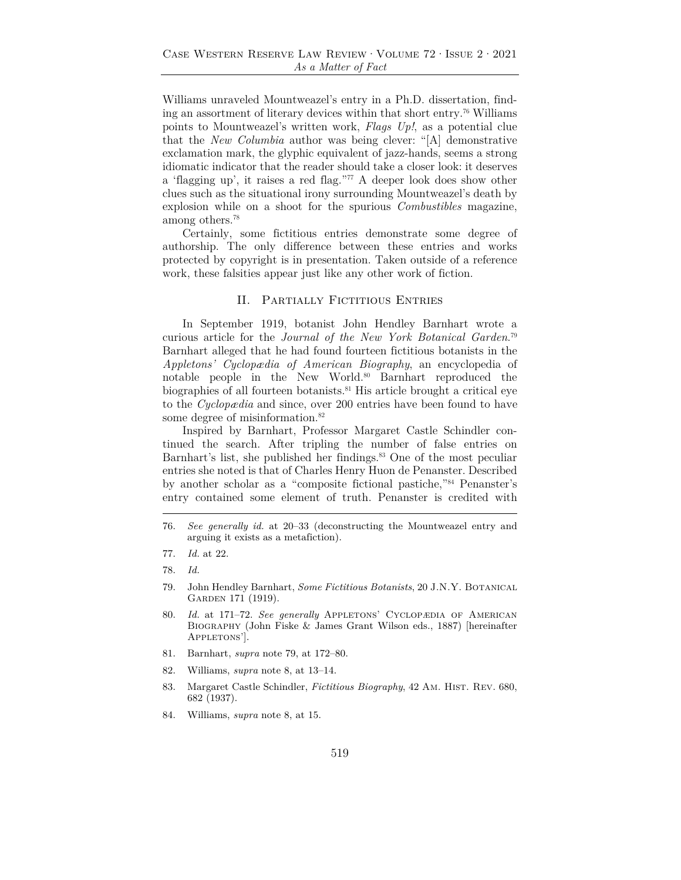Williams unraveled Mountweazel's entry in a Ph.D. dissertation, finding an assortment of literary devices within that short entry.76 Williams points to Mountweazel's written work, *Flags Up!*, as a potential clue that the *New Columbia* author was being clever: "[A] demonstrative exclamation mark, the glyphic equivalent of jazz-hands, seems a strong idiomatic indicator that the reader should take a closer look: it deserves a 'flagging up', it raises a red flag."77 A deeper look does show other clues such as the situational irony surrounding Mountweazel's death by explosion while on a shoot for the spurious *Combustibles* magazine, among others.78

Certainly, some fictitious entries demonstrate some degree of authorship. The only difference between these entries and works protected by copyright is in presentation. Taken outside of a reference work, these falsities appear just like any other work of fiction.

#### II. PARTIALLY FICTITIOUS ENTRIES

In September 1919, botanist John Hendley Barnhart wrote a curious article for the *Journal of the New York Botanical Garden*. 79 Barnhart alleged that he had found fourteen fictitious botanists in the *Appletons' Cyclopædia of American Biography*, an encyclopedia of notable people in the New World.80 Barnhart reproduced the biographies of all fourteen botanists.<sup>81</sup> His article brought a critical eye to the *Cyclopædia* and since, over 200 entries have been found to have some degree of misinformation.<sup>82</sup>

Inspired by Barnhart, Professor Margaret Castle Schindler continued the search. After tripling the number of false entries on Barnhart's list, she published her findings.<sup>83</sup> One of the most peculiar entries she noted is that of Charles Henry Huon de Penanster. Described by another scholar as a "composite fictional pastiche,"84 Penanster's entry contained some element of truth. Penanster is credited with

- 80. Id. at 171-72. See generally APPLETONS' CYCLOPÆDIA OF AMERICAN Biography (John Fiske & James Grant Wilson eds., 1887) [hereinafter APPLETONS'].
- 81. Barnhart, *supra* note 79, at 172–80.
- 82. Williams, *supra* note 8, at 13–14.
- 83. Margaret Castle Schindler, *Fictitious Biography*, 42 Am. HIST. REV. 680, 682 (1937).
- 84. Williams, *supra* note 8, at 15.

<sup>76.</sup> *See generally id.* at 20–33 (deconstructing the Mountweazel entry and arguing it exists as a metafiction).

<sup>77.</sup> *Id.* at 22.

<sup>78.</sup> *Id.*

<sup>79.</sup> John Hendley Barnhart, *Some Fictitious Botanists*, 20 J.N.Y. Botanical GARDEN 171 (1919).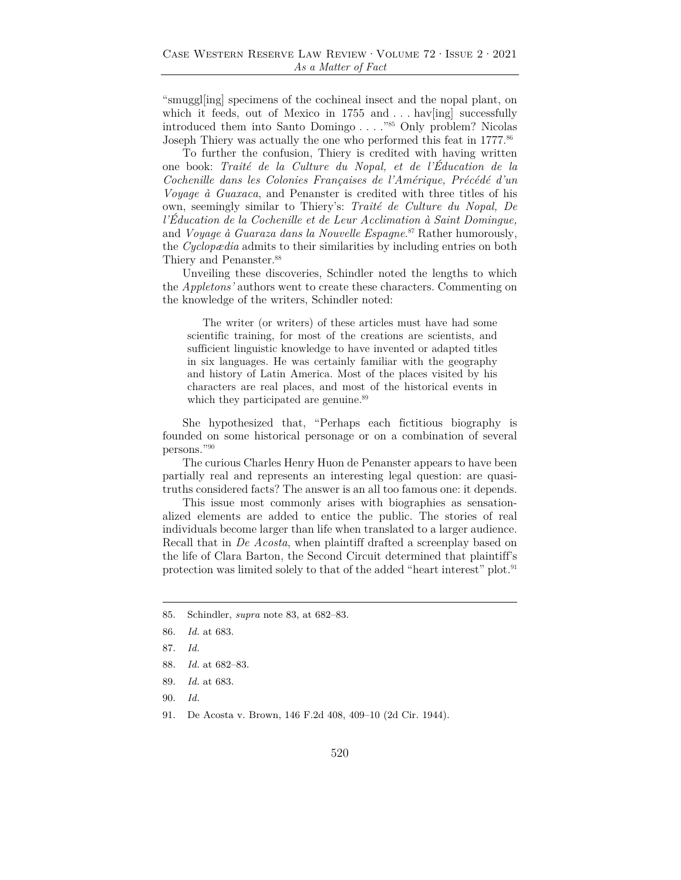"smuggl[ing] specimens of the cochineal insect and the nopal plant, on which it feeds, out of Mexico in  $1755$  and ... have neglight successfully introduced them into Santo Domingo . . . ."85 Only problem? Nicolas Joseph Thiery was actually the one who performed this feat in 1777.<sup>86</sup>

To further the confusion, Thiery is credited with having written one book: *Traité de la Culture du Nopal, et de l'Éducation de la Cochenille dans les Colonies Françaises de l'Amérique, Précédé d'un Voyage à Guaxaca*, and Penanster is credited with three titles of his own, seemingly similar to Thiery's: *Traité de Culture du Nopal, De l'Éducation de la Cochenille et de Leur Acclimation à Saint Domingue,*  and *Voyage à Guaraza dans la Nouvelle Espagne*. 87 Rather humorously, the *Cyclopædia* admits to their similarities by including entries on both Thiery and Penanster.<sup>88</sup>

Unveiling these discoveries, Schindler noted the lengths to which the *Appletons'* authors went to create these characters. Commenting on the knowledge of the writers, Schindler noted:

The writer (or writers) of these articles must have had some scientific training, for most of the creations are scientists, and sufficient linguistic knowledge to have invented or adapted titles in six languages. He was certainly familiar with the geography and history of Latin America. Most of the places visited by his characters are real places, and most of the historical events in which they participated are genuine.<sup>89</sup>

She hypothesized that, "Perhaps each fictitious biography is founded on some historical personage or on a combination of several persons."90

The curious Charles Henry Huon de Penanster appears to have been partially real and represents an interesting legal question: are quasitruths considered facts? The answer is an all too famous one: it depends.

This issue most commonly arises with biographies as sensationalized elements are added to entice the public. The stories of real individuals become larger than life when translated to a larger audience. Recall that in *De Acosta*, when plaintiff drafted a screenplay based on the life of Clara Barton, the Second Circuit determined that plaintiff's protection was limited solely to that of the added "heart interest" plot.91

85. Schindler, *supra* note 83, at 682–83.

- 87. *Id.*
- 88. *Id.* at 682–83.
- 89. *Id.* at 683.
- 90. *Id.*
- 91. De Acosta v. Brown, 146 F.2d 408, 409–10 (2d Cir. 1944).

<sup>86.</sup> *Id.* at 683.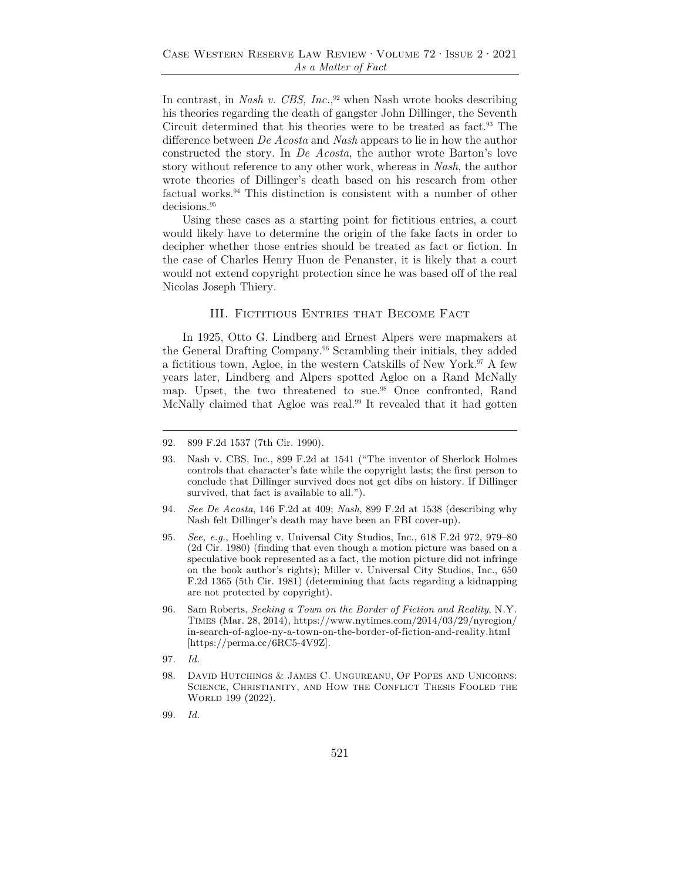In contrast, in *Nash v. CBS, Inc.*, 92 when Nash wrote books describing his theories regarding the death of gangster John Dillinger, the Seventh Circuit determined that his theories were to be treated as fact.<sup>93</sup> The difference between *De Acosta* and *Nash* appears to lie in how the author constructed the story. In *De Acosta*, the author wrote Barton's love story without reference to any other work, whereas in *Nash*, the author wrote theories of Dillinger's death based on his research from other factual works.94 This distinction is consistent with a number of other decisions.<sup>95</sup>

Using these cases as a starting point for fictitious entries, a court would likely have to determine the origin of the fake facts in order to decipher whether those entries should be treated as fact or fiction. In the case of Charles Henry Huon de Penanster, it is likely that a court would not extend copyright protection since he was based off of the real Nicolas Joseph Thiery.

#### III. Fictitious Entries that Become Fact

In 1925, Otto G. Lindberg and Ernest Alpers were mapmakers at the General Drafting Company.96 Scrambling their initials, they added a fictitious town, Agloe, in the western Catskills of New York.<sup>97</sup> A few years later, Lindberg and Alpers spotted Agloe on a Rand McNally map. Upset, the two threatened to sue.<sup>98</sup> Once confronted, Rand McNally claimed that Agloe was real.99 It revealed that it had gotten

- 94. *See De Acosta*, 146 F.2d at 409; *Nash*, 899 F.2d at 1538 (describing why Nash felt Dillinger's death may have been an FBI cover-up).
- 95. *See, e.g.*, Hoehling v. Universal City Studios, Inc., 618 F.2d 972, 979–80 (2d Cir. 1980) (finding that even though a motion picture was based on a speculative book represented as a fact, the motion picture did not infringe on the book author's rights); Miller v. Universal City Studios, Inc., 650 F.2d 1365 (5th Cir. 1981) (determining that facts regarding a kidnapping are not protected by copyright).
- 96. Sam Roberts, *Seeking a Town on the Border of Fiction and Reality*, N.Y. Times (Mar. 28, 2014), https://www.nytimes.com/2014/03/29/nyregion/ in-search-of-agloe-ny-a-town-on-the-border-of-fiction-and-reality.html [https://perma.cc/6RC5-4V9Z].
- 97. *Id.*
- 98. David Hutchings & James C. Ungureanu, Of Popes and Unicorns: Science, Christianity, and How the Conflict Thesis Fooled the WORLD 199 (2022).
- 99. *Id.*

<sup>92. 899</sup> F.2d 1537 (7th Cir. 1990).

<sup>93.</sup> Nash v. CBS, Inc., 899 F.2d at 1541 ("The inventor of Sherlock Holmes controls that character's fate while the copyright lasts; the first person to conclude that Dillinger survived does not get dibs on history. If Dillinger survived, that fact is available to all.").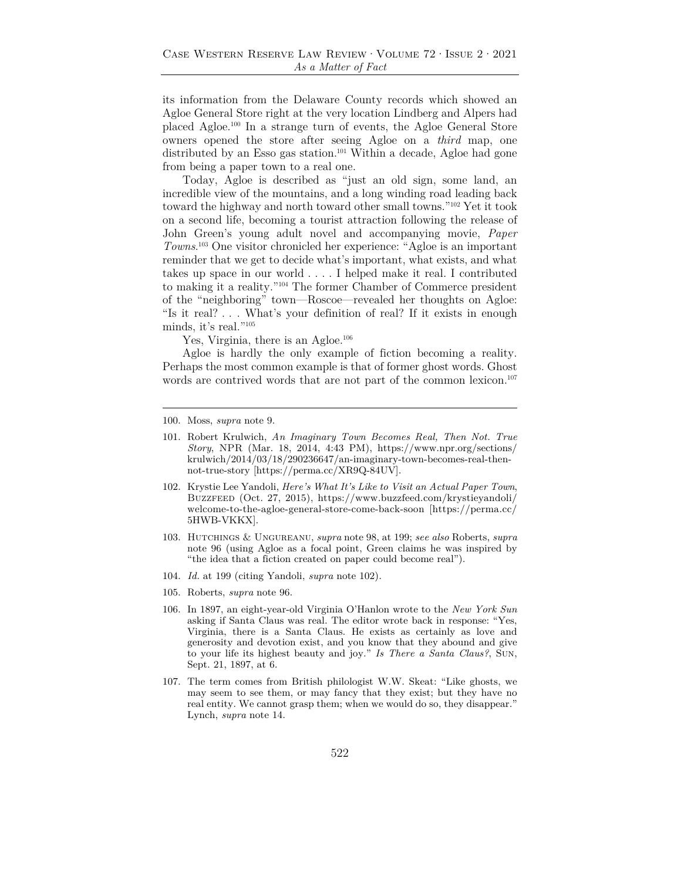its information from the Delaware County records which showed an Agloe General Store right at the very location Lindberg and Alpers had placed Agloe.100 In a strange turn of events, the Agloe General Store owners opened the store after seeing Agloe on a *third* map, one distributed by an Esso gas station.<sup>101</sup> Within a decade, Agloe had gone from being a paper town to a real one.

Today, Agloe is described as "just an old sign, some land, an incredible view of the mountains, and a long winding road leading back toward the highway and north toward other small towns."102 Yet it took on a second life, becoming a tourist attraction following the release of John Green's young adult novel and accompanying movie, *Paper Towns*. 103 One visitor chronicled her experience: "Agloe is an important reminder that we get to decide what's important, what exists, and what takes up space in our world . . . . I helped make it real. I contributed to making it a reality."104 The former Chamber of Commerce president of the "neighboring" town—Roscoe—revealed her thoughts on Agloe: "Is it real? . . . What's your definition of real? If it exists in enough minds, it's real."105

Yes, Virginia, there is an Agloe.<sup>106</sup>

Agloe is hardly the only example of fiction becoming a reality. Perhaps the most common example is that of former ghost words. Ghost words are contrived words that are not part of the common lexicon.<sup>107</sup>

- 104. *Id.* at 199 (citing Yandoli, *supra* note 102).
- 105. Roberts, *supra* note 96.
- 106. In 1897, an eight-year-old Virginia O'Hanlon wrote to the *New York Sun*  asking if Santa Claus was real. The editor wrote back in response: "Yes, Virginia, there is a Santa Claus. He exists as certainly as love and generosity and devotion exist, and you know that they abound and give to your life its highest beauty and joy." *Is There a Santa Claus?*, Sun, Sept. 21, 1897, at 6.
- 107. The term comes from British philologist W.W. Skeat: "Like ghosts, we may seem to see them, or may fancy that they exist; but they have no real entity. We cannot grasp them; when we would do so, they disappear." Lynch, *supra* note 14.

<sup>100.</sup> Moss, *supra* note 9.

<sup>101.</sup> Robert Krulwich, *An Imaginary Town Becomes Real, Then Not. True Story*, NPR (Mar. 18, 2014, 4:43 PM), https://www.npr.org/sections/ krulwich/2014/03/18/290236647/an-imaginary-town-becomes-real-thennot-true-story [https://perma.cc/XR9Q-84UV].

<sup>102.</sup> Krystie Lee Yandoli, *Here's What It's Like to Visit an Actual Paper Town*, Buzzfeed (Oct. 27, 2015), https://www.buzzfeed.com/krystieyandoli/ welcome-to-the-agloe-general-store-come-back-soon [https://perma.cc/ 5HWB-VKKX].

<sup>103.</sup> Hutchings & Ungureanu, *supra* note 98, at 199; *see also* Roberts, *supra* note 96 (using Agloe as a focal point, Green claims he was inspired by "the idea that a fiction created on paper could become real").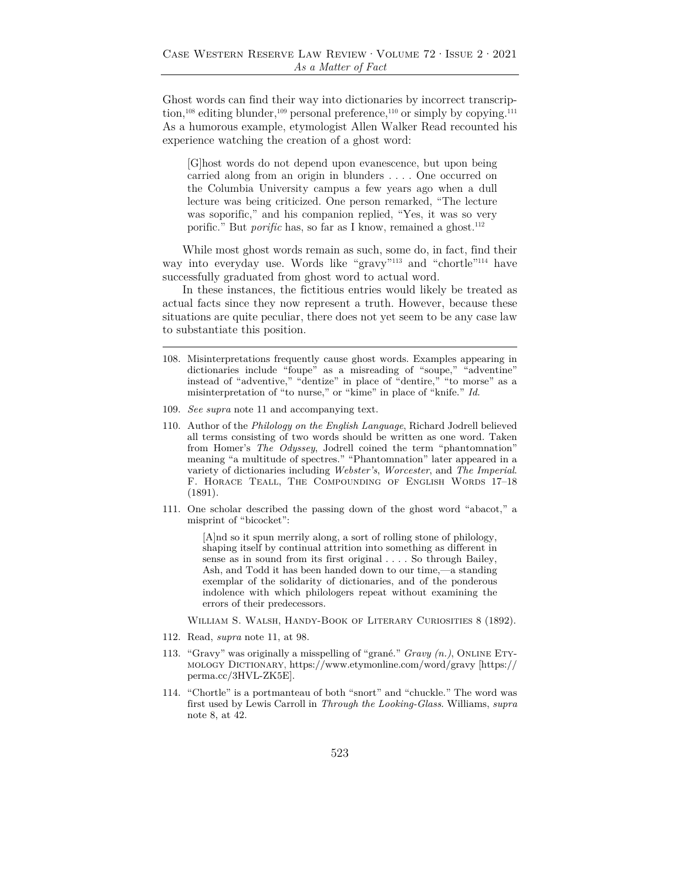Ghost words can find their way into dictionaries by incorrect transcription,<sup>108</sup> editing blunder,<sup>109</sup> personal preference,<sup>110</sup> or simply by copying.<sup>111</sup> As a humorous example, etymologist Allen Walker Read recounted his experience watching the creation of a ghost word:

[G]host words do not depend upon evanescence, but upon being carried along from an origin in blunders . . . . One occurred on the Columbia University campus a few years ago when a dull lecture was being criticized. One person remarked, "The lecture was soporific," and his companion replied, "Yes, it was so very porific." But *porific* has, so far as I know, remained a ghost.<sup>112</sup>

While most ghost words remain as such, some do, in fact, find their way into everyday use. Words like "gravy"113 and "chortle"114 have successfully graduated from ghost word to actual word.

In these instances, the fictitious entries would likely be treated as actual facts since they now represent a truth. However, because these situations are quite peculiar, there does not yet seem to be any case law to substantiate this position.

- 109. *See supra* note 11 and accompanying text.
- 110. Author of the *Philology on the English Language*, Richard Jodrell believed all terms consisting of two words should be written as one word. Taken from Homer's *The Odyssey*, Jodrell coined the term "phantomnation" meaning "a multitude of spectres." "Phantomnation" later appeared in a variety of dictionaries including *Webster's*, *Worcester*, and *The Imperial*. F. Horace Teall, The Compounding of English Words 17–18 (1891).
- 111. One scholar described the passing down of the ghost word "abacot," a misprint of "bicocket":

[A]nd so it spun merrily along, a sort of rolling stone of philology, shaping itself by continual attrition into something as different in sense as in sound from its first original . . . . So through Bailey, Ash, and Todd it has been handed down to our time,—a standing exemplar of the solidarity of dictionaries, and of the ponderous indolence with which philologers repeat without examining the errors of their predecessors.

William S. Walsh, Handy-Book of Literary Curiosities 8 (1892).

- 112. Read, *supra* note 11, at 98.
- 113. "Gravy" was originally a misspelling of "grané." *Gravy (n.)*, Online Etymology Dictionary, https://www.etymonline.com/word/gravy [https:// perma.cc/3HVL-ZK5E].
- 114. "Chortle" is a portmanteau of both "snort" and "chuckle." The word was first used by Lewis Carroll in *Through the Looking-Glass*. Williams, *supra* note 8, at 42.

<sup>108.</sup> Misinterpretations frequently cause ghost words. Examples appearing in dictionaries include "foupe" as a misreading of "soupe," "adventine" instead of "adventive," "dentize" in place of "dentire," "to morse" as a misinterpretation of "to nurse," or "kime" in place of "knife." *Id.*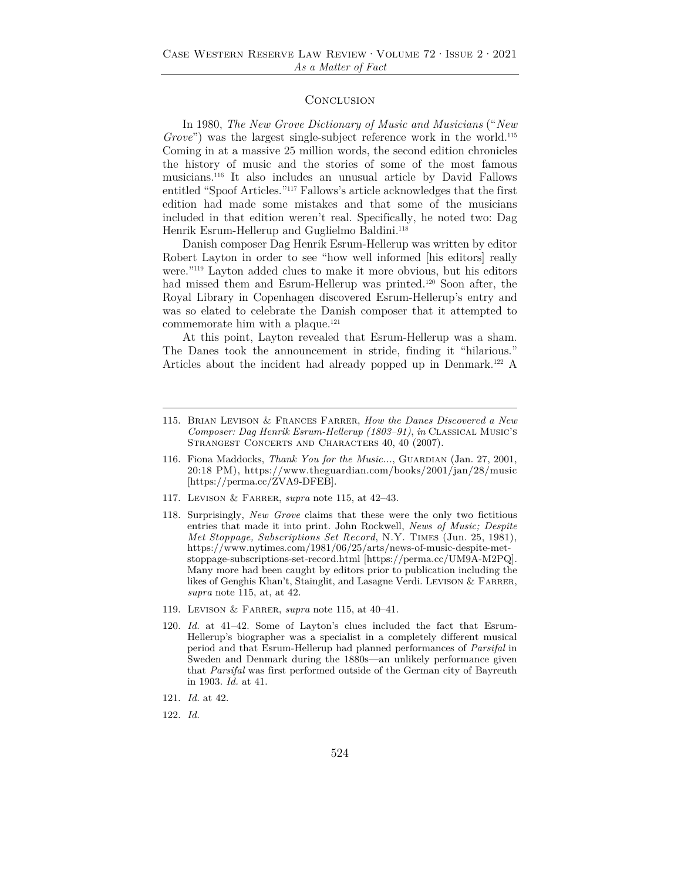#### **CONCLUSION**

In 1980, *The New Grove Dictionary of Music and Musicians* ("*New Grove*") was the largest single-subject reference work in the world.<sup>115</sup> Coming in at a massive 25 million words, the second edition chronicles the history of music and the stories of some of the most famous musicians.116 It also includes an unusual article by David Fallows entitled "Spoof Articles."117 Fallows's article acknowledges that the first edition had made some mistakes and that some of the musicians included in that edition weren't real. Specifically, he noted two: Dag Henrik Esrum-Hellerup and Guglielmo Baldini.<sup>118</sup>

Danish composer Dag Henrik Esrum-Hellerup was written by editor Robert Layton in order to see "how well informed [his editors] really were."119 Layton added clues to make it more obvious, but his editors had missed them and Esrum-Hellerup was printed.<sup>120</sup> Soon after, the Royal Library in Copenhagen discovered Esrum-Hellerup's entry and was so elated to celebrate the Danish composer that it attempted to commemorate him with a plaque. $121$ 

At this point, Layton revealed that Esrum-Hellerup was a sham. The Danes took the announcement in stride, finding it "hilarious." Articles about the incident had already popped up in Denmark.<sup>122</sup> A

- 116. Fiona Maddocks, *Thank You for the Music...*, GUARDIAN (Jan. 27, 2001, 20:18 PM), https://www.theguardian.com/books/2001/jan/28/music [https://perma.cc/ZVA9-DFEB].
- 117. Levison & Farrer, *supra* note 115, at 42–43.
- 118. Surprisingly, *New Grove* claims that these were the only two fictitious entries that made it into print. John Rockwell, *News of Music; Despite Met Stoppage, Subscriptions Set Record*, N.Y. Times (Jun. 25, 1981), https://www.nytimes.com/1981/06/25/arts/news-of-music-despite-metstoppage-subscriptions-set-record.html [https://perma.cc/UM9A-M2PQ]. Many more had been caught by editors prior to publication including the likes of Genghis Khan't, Stainglit, and Lasagne Verdi. LEVISON & FARRER, *supra* note 115, at, at 42.
- 119. Levison & Farrer, *supra* note 115, at 40–41.
- 120. *Id.* at 41–42. Some of Layton's clues included the fact that Esrum-Hellerup's biographer was a specialist in a completely different musical period and that Esrum-Hellerup had planned performances of *Parsifal* in Sweden and Denmark during the 1880s—an unlikely performance given that *Parsifal* was first performed outside of the German city of Bayreuth in 1903. *Id.* at 41.
- 121. *Id.* at 42.
- 122. *Id.*

<sup>115.</sup> Brian Levison & Frances Farrer, *How the Danes Discovered a New Composer: Dag Henrik Esrum-Hellerup (1803–91)*, *in* Classical Music's STRANGEST CONCERTS AND CHARACTERS 40, 40 (2007).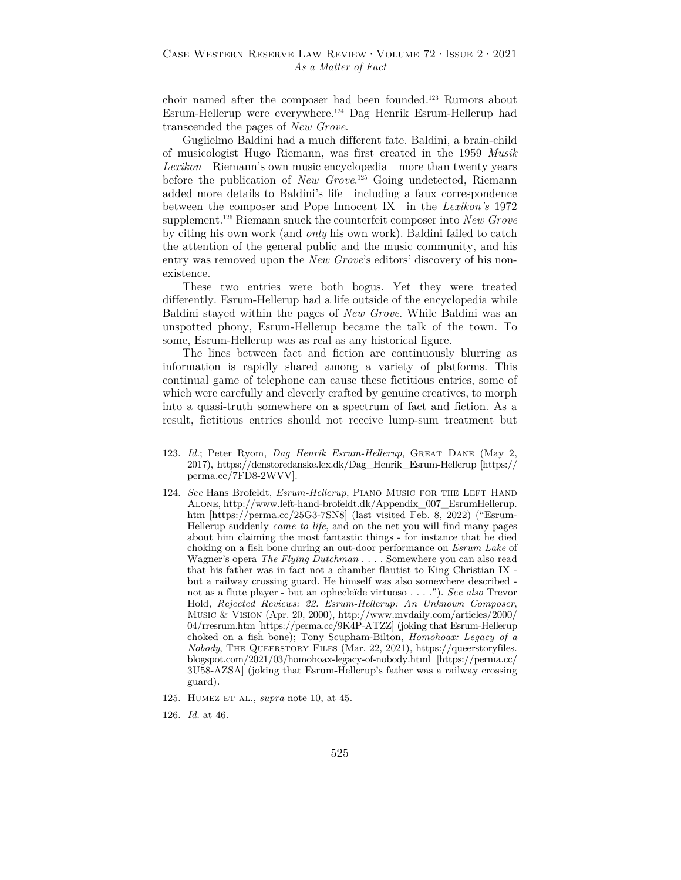choir named after the composer had been founded.123 Rumors about Esrum-Hellerup were everywhere.124 Dag Henrik Esrum-Hellerup had transcended the pages of *New Grove*.

Guglielmo Baldini had a much different fate. Baldini, a brain-child of musicologist Hugo Riemann, was first created in the 1959 *Musik Lexikon*—Riemann's own music encyclopedia—more than twenty years before the publication of *New Grove*. 125 Going undetected, Riemann added more details to Baldini's life—including a faux correspondence between the composer and Pope Innocent IX—in the *Lexikon's* 1972 supplement.126 Riemann snuck the counterfeit composer into *New Grove* by citing his own work (and *only* his own work). Baldini failed to catch the attention of the general public and the music community, and his entry was removed upon the *New Grove*'s editors' discovery of his nonexistence.

These two entries were both bogus. Yet they were treated differently. Esrum-Hellerup had a life outside of the encyclopedia while Baldini stayed within the pages of *New Grove*. While Baldini was an unspotted phony, Esrum-Hellerup became the talk of the town. To some, Esrum-Hellerup was as real as any historical figure.

The lines between fact and fiction are continuously blurring as information is rapidly shared among a variety of platforms. This continual game of telephone can cause these fictitious entries, some of which were carefully and cleverly crafted by genuine creatives, to morph into a quasi-truth somewhere on a spectrum of fact and fiction. As a result, fictitious entries should not receive lump-sum treatment but

126. *Id.* at 46.

<sup>123.</sup> *Id.*; Peter Ryom, *Dag Henrik Esrum-Hellerup*, Great Dane (May 2, 2017), https://denstoredanske.lex.dk/Dag\_Henrik\_Esrum-Hellerup [https:// perma.cc/7FD8-2WVV].

<sup>124.</sup> *See* Hans Brofeldt, *Esrum-Hellerup*, PIANO MUSIC FOR THE LEFT HAND Alone, http://www.left-hand-brofeldt.dk/Appendix\_007\_EsrumHellerup. htm [https://perma.cc/25G3-7SN8] (last visited Feb. 8, 2022) ("Esrum-Hellerup suddenly *came to life*, and on the net you will find many pages about him claiming the most fantastic things - for instance that he died choking on a fish bone during an out-door performance on *Esrum Lake* of Wagner's opera *The Flying Dutchman* . . . . Somewhere you can also read that his father was in fact not a chamber flautist to King Christian IX but a railway crossing guard. He himself was also somewhere described not as a flute player - but an ophecleïde virtuoso . . . ."). *See also* Trevor Hold, *Rejected Reviews: 22. Esrum-Hellerup: An Unknown Composer*, Music & Vision (Apr. 20, 2000), http://www.mvdaily.com/articles/2000/ 04/rresrum.htm [https://perma.cc/9K4P-ATZZ] (joking that Esrum-Hellerup choked on a fish bone); Tony Scupham-Bilton, *Homohoax: Legacy of a Nobody*, THE QUEERSTORY FILES (Mar. 22, 2021), https://queerstoryfiles. blogspot.com/2021/03/homohoax-legacy-of-nobody.html [https://perma.cc/ 3U58-AZSA] (joking that Esrum-Hellerup's father was a railway crossing guard).

<sup>125.</sup> Humez et al., *supra* note 10, at 45.